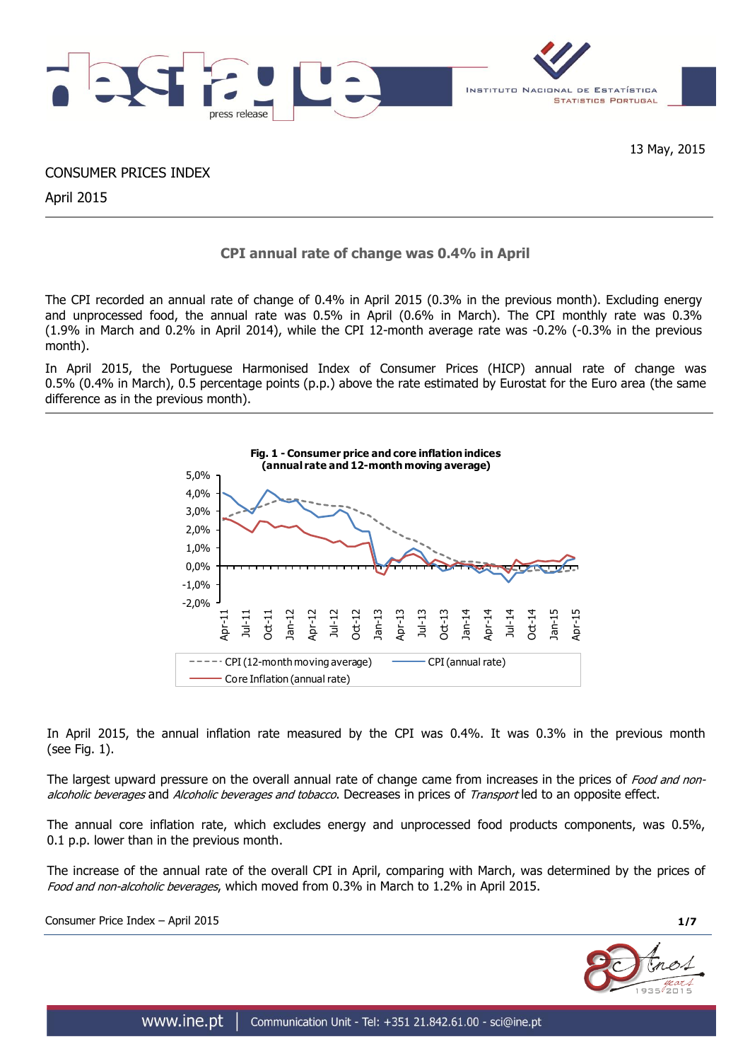

13 May, 2015

CONSUMER PRICES INDEX

April 2015

# **CPI annual rate of change was 0.4% in April**

The CPI recorded an annual rate of change of 0.4% in April 2015 (0.3% in the previous month). Excluding energy and unprocessed food, the annual rate was 0.5% in April (0.6% in March). The CPI monthly rate was 0.3% (1.9% in March and 0.2% in April 2014), while the CPI 12-month average rate was -0.2% (-0.3% in the previous month).

In April 2015, the Portuguese Harmonised Index of Consumer Prices (HICP) annual rate of change was 0.5% (0.4% in March), 0.5 percentage points (p.p.) above the rate estimated by Eurostat for the Euro area (the same difference as in the previous month).



In April 2015, the annual inflation rate measured by the CPI was 0.4%. It was 0.3% in the previous month (see Fig. 1).

The largest upward pressure on the overall annual rate of change came from increases in the prices of Food and nonalcoholic beverages and Alcoholic beverages and tobacco. Decreases in prices of Transport led to an opposite effect.

The annual core inflation rate, which excludes energy and unprocessed food products components, was 0.5%, 0.1 p.p. lower than in the previous month.

The increase of the annual rate of the overall CPI in April, comparing with March, was determined by the prices of Food and non-alcoholic beverages, which moved from 0.3% in March to 1.2% in April 2015.

Consumer Price Index – April 2015 **1/7**

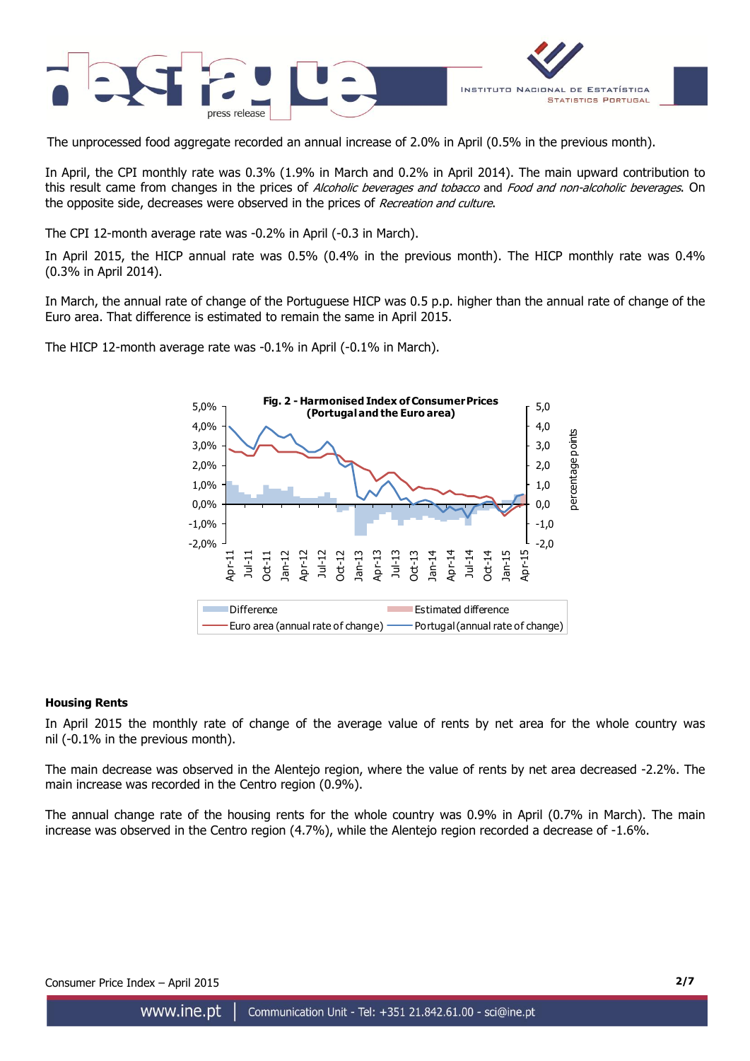

The unprocessed food aggregate recorded an annual increase of 2.0% in April (0.5% in the previous month).

In April, the CPI monthly rate was 0.3% (1.9% in March and 0.2% in April 2014). The main upward contribution to this result came from changes in the prices of Alcoholic beverages and tobacco and Food and non-alcoholic beverages. On the opposite side, decreases were observed in the prices of Recreation and culture.

The CPI 12-month average rate was -0.2% in April (-0.3 in March).

In April 2015, the HICP annual rate was 0.5% (0.4% in the previous month). The HICP monthly rate was 0.4% (0.3% in April 2014).

In March, the annual rate of change of the Portuguese HICP was 0.5 p.p. higher than the annual rate of change of the Euro area. That difference is estimated to remain the same in April 2015.

The HICP 12-month average rate was -0.1% in April (-0.1% in March).



# **Housing Rents**

In April 2015 the monthly rate of change of the average value of rents by net area for the whole country was nil (-0.1% in the previous month).

The main decrease was observed in the Alentejo region, where the value of rents by net area decreased -2.2%. The main increase was recorded in the Centro region (0.9%).

The annual change rate of the housing rents for the whole country was 0.9% in April (0.7% in March). The main increase was observed in the Centro region (4.7%), while the Alentejo region recorded a decrease of -1.6%.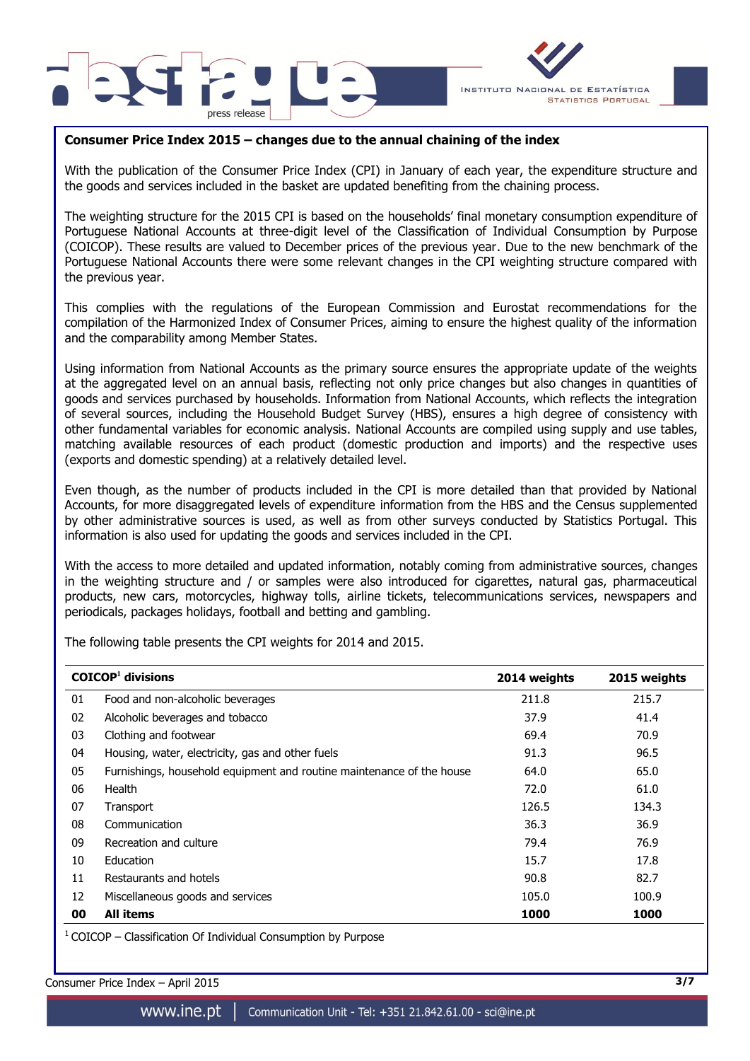



# **Consumer Price Index 2015 – changes due to the annual chaining of the index**

With the publication of the Consumer Price Index (CPI) in January of each year, the expenditure structure and the goods and services included in the basket are updated benefiting from the chaining process.

The weighting structure for the 2015 CPI is based on the households' final monetary consumption expenditure of Portuguese National Accounts at three-digit level of the Classification of Individual Consumption by Purpose (COICOP). These results are valued to December prices of the previous year. Due to the new benchmark of the Portuguese National Accounts there were some relevant changes in the CPI weighting structure compared with the previous year.

This complies with the regulations of the European Commission and Eurostat recommendations for the compilation of the Harmonized Index of Consumer Prices, aiming to ensure the highest quality of the information and the comparability among Member States.

Using information from National Accounts as the primary source ensures the appropriate update of the weights at the aggregated level on an annual basis, reflecting not only price changes but also changes in quantities of goods and services purchased by households. Information from National Accounts, which reflects the integration of several sources, including the Household Budget Survey (HBS), ensures a high degree of consistency with other fundamental variables for economic analysis. National Accounts are compiled using supply and use tables, matching available resources of each product (domestic production and imports) and the respective uses (exports and domestic spending) at a relatively detailed level.

Even though, as the number of products included in the CPI is more detailed than that provided by National Accounts, for more disaggregated levels of expenditure information from the HBS and the Census supplemented by other administrative sources is used, as well as from other surveys conducted by Statistics Portugal. This information is also used for updating the goods and services included in the CPI.

With the access to more detailed and updated information, notably coming from administrative sources, changes in the weighting structure and / or samples were also introduced for cigarettes, natural gas, pharmaceutical products, new cars, motorcycles, highway tolls, airline tickets, telecommunications services, newspapers and periodicals, packages holidays, football and betting and gambling.

The following table presents the CPI weights for 2014 and 2015.

|    | $COICOP1$ divisions                                                   | 2014 weights | 2015 weights |
|----|-----------------------------------------------------------------------|--------------|--------------|
| 01 | Food and non-alcoholic beverages                                      | 211.8        | 215.7        |
| 02 | Alcoholic beverages and tobacco                                       | 37.9         | 41.4         |
| 03 | Clothing and footwear                                                 | 69.4         | 70.9         |
| 04 | Housing, water, electricity, gas and other fuels                      | 91.3         | 96.5         |
| 05 | Furnishings, household equipment and routine maintenance of the house | 64.0         | 65.0         |
| 06 | Health                                                                | 72.0         | 61.0         |
| 07 | Transport                                                             | 126.5        | 134.3        |
| 08 | Communication                                                         | 36.3         | 36.9         |
| 09 | Recreation and culture                                                | 79.4         | 76.9         |
| 10 | Education                                                             | 15.7         | 17.8         |
| 11 | Restaurants and hotels                                                | 90.8         | 82.7         |
| 12 | Miscellaneous goods and services                                      | 105.0        | 100.9        |
| 00 | <b>All items</b>                                                      | 1000         | 1000         |

 $1$  COICOP – Classification Of Individual Consumption by Purpose

Consumer Price Index – April 2015 **3/7**

www.ine.pt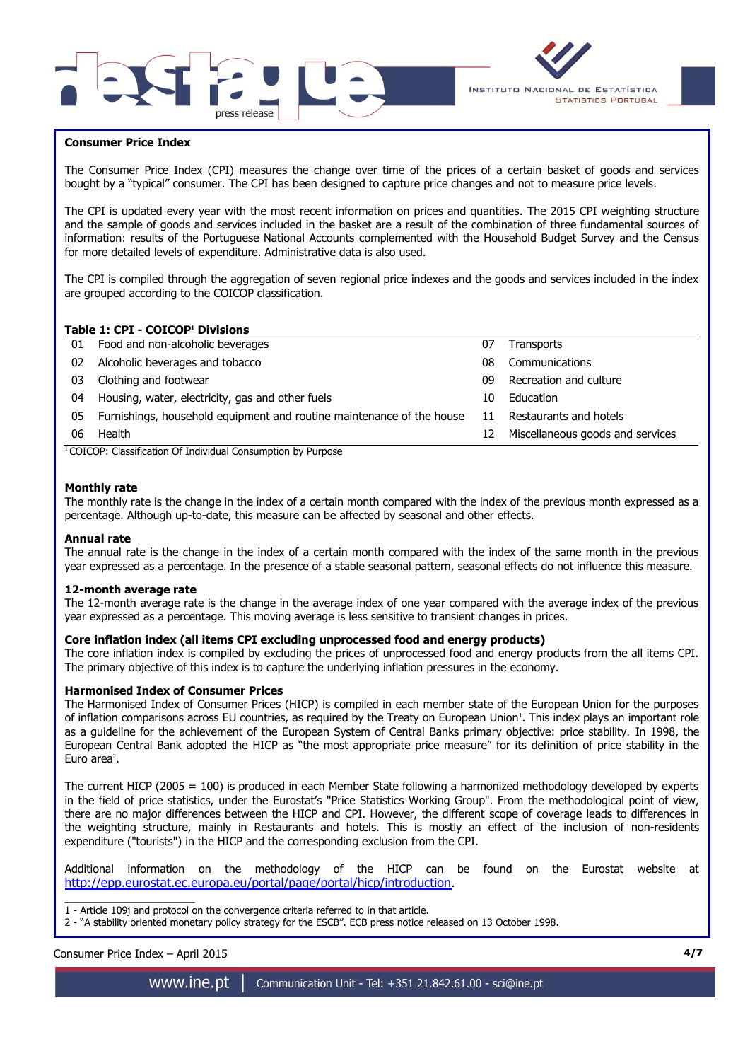



# **Consumer Price Index**

The Consumer Price Index (CPI) measures the change over time of the prices of a certain basket of goods and services bought by a "typical" consumer. The CPI has been designed to capture price changes and not to measure price levels.

The CPI is updated every year with the most recent information on prices and quantities. The 2015 CPI weighting structure and the sample of goods and services included in the basket are a result of the combination of three fundamental sources of information: results of the Portuguese National Accounts complemented with the Household Budget Survey and the Census for more detailed levels of expenditure. Administrative data is also used.

The CPI is compiled through the aggregation of seven regional price indexes and the goods and services included in the index are grouped according to the COICOP classification.

# **Table 1: CPI - COICOP<sup>1</sup> Divisions**

| 01 | Food and non-alcoholic beverages                                      | 07 | <b>Transports</b>                |
|----|-----------------------------------------------------------------------|----|----------------------------------|
| 02 | Alcoholic beverages and tobacco                                       | 08 | Communications                   |
| 03 | Clothing and footwear                                                 | 09 | Recreation and culture           |
| 04 | Housing, water, electricity, gas and other fuels                      | 10 | Education                        |
| 05 | Furnishings, household equipment and routine maintenance of the house | 11 | Restaurants and hotels           |
| 06 | Health                                                                | 12 | Miscellaneous goods and services |
|    |                                                                       |    |                                  |

<sup>1</sup> COICOP: Classification Of Individual Consumption by Purpose

### **Monthly rate**

The monthly rate is the change in the index of a certain month compared with the index of the previous month expressed as a percentage. Although up-to-date, this measure can be affected by seasonal and other effects.

#### **Annual rate**

The annual rate is the change in the index of a certain month compared with the index of the same month in the previous year expressed as a percentage. In the presence of a stable seasonal pattern, seasonal effects do not influence this measure.

#### **12-month average rate**

The 12-month average rate is the change in the average index of one year compared with the average index of the previous year expressed as a percentage. This moving average is less sensitive to transient changes in prices.

#### **Core inflation index (all items CPI excluding unprocessed food and energy products)**

The core inflation index is compiled by excluding the prices of unprocessed food and energy products from the all items CPI. The primary objective of this index is to capture the underlying inflation pressures in the economy.

#### **Harmonised Index of Consumer Prices**

The Harmonised Index of Consumer Prices (HICP) is compiled in each member state of the European Union for the purposes of inflation comparisons across EU countries, as required by the Treaty on European Union<sup>1</sup>. This index plays an important role as a guideline for the achievement of the European System of Central Banks primary objective: price stability. In 1998, the European Central Bank adopted the HICP as "the most appropriate price measure" for its definition of price stability in the Euro area $2$ .

The current HICP (2005 = 100) is produced in each Member State following a harmonized methodology developed by experts in the field of price statistics, under the Eurostat's "Price Statistics Working Group". From the methodological point of view, there are no major differences between the HICP and CPI. However, the different scope of coverage leads to differences in the weighting structure, mainly in Restaurants and hotels. This is mostly an effect of the inclusion of non-residents expenditure ("tourists") in the HICP and the corresponding exclusion from the CPI.

Additional information on the methodology of the HICP can be found on the Eurostat website at <http://epp.eurostat.ec.europa.eu/portal/page/portal/hicp/introduction>.

 $\overline{\phantom{a}}$  , and the set of the set of the set of the set of the set of the set of the set of the set of the set of the set of the set of the set of the set of the set of the set of the set of the set of the set of the s 1 - Article 109j and protocol on the convergence criteria referred to in that article.

2 - "A stability oriented monetary policy strategy for the ESCB". ECB press notice released on 13 October 1998.

Consumer Price Index – April 2015 **4/7**

www.ine.pt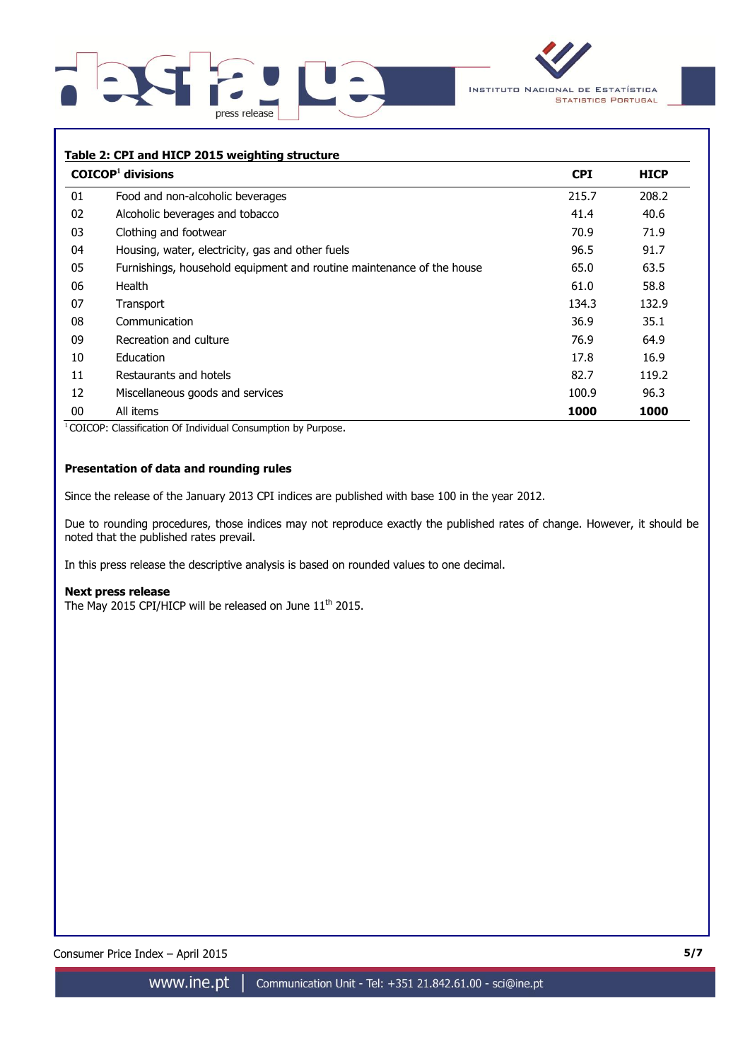



## **Table 2: CPI and HICP 2015 weighting structure**

|    | $COICOP1$ divisions                                                   | <b>CPI</b> | <b>HICP</b> |
|----|-----------------------------------------------------------------------|------------|-------------|
| 01 | Food and non-alcoholic beverages                                      | 215.7      | 208.2       |
| 02 | Alcoholic beverages and tobacco                                       | 41.4       | 40.6        |
| 03 | Clothing and footwear                                                 | 70.9       | 71.9        |
| 04 | Housing, water, electricity, gas and other fuels                      | 96.5       | 91.7        |
| 05 | Furnishings, household equipment and routine maintenance of the house | 65.0       | 63.5        |
| 06 | Health                                                                | 61.0       | 58.8        |
| 07 | Transport                                                             | 134.3      | 132.9       |
| 08 | Communication                                                         | 36.9       | 35.1        |
| 09 | Recreation and culture                                                | 76.9       | 64.9        |
| 10 | Education                                                             | 17.8       | 16.9        |
| 11 | Restaurants and hotels                                                | 82.7       | 119.2       |
| 12 | Miscellaneous goods and services                                      | 100.9      | 96.3        |
| 00 | All items                                                             | 1000       | 1000        |

<sup>1</sup> COICOP: Classification Of Individual Consumption by Purpose.

# **Presentation of data and rounding rules**

Since the release of the January 2013 CPI indices are published with base 100 in the year 2012.

Due to rounding procedures, those indices may not reproduce exactly the published rates of change. However, it should be noted that the published rates prevail.

In this press release the descriptive analysis is based on rounded values to one decimal.

#### **Next press release**

The May 2015 CPI/HICP will be released on June  $11^{\text{th}}$  2015.

Consumer Price Index – April 2015 **5/7**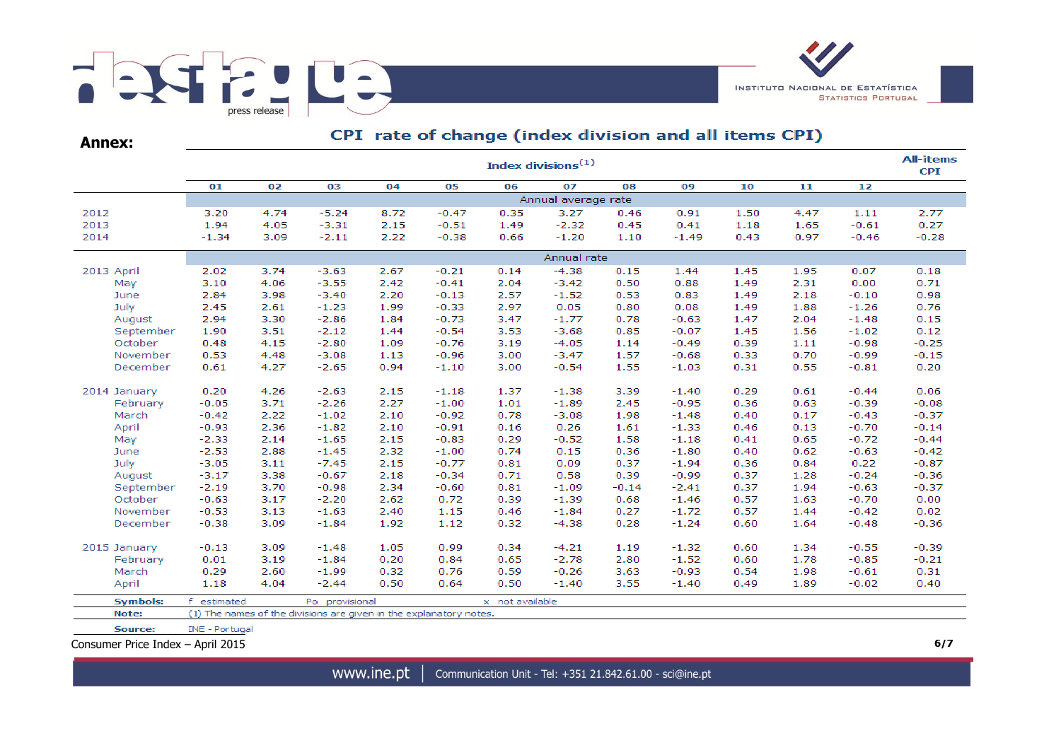

**Annex:**

# CPI rate of change (index division and all items CPI)

|                                   | <b>All-items</b><br>Index divisions $(1)$ |      |                                                                    |      |         |                 |             |         |         |      |      |         |         |  |  |
|-----------------------------------|-------------------------------------------|------|--------------------------------------------------------------------|------|---------|-----------------|-------------|---------|---------|------|------|---------|---------|--|--|
|                                   | 01                                        | 02   | 03                                                                 | 04   | 05      | 06              | 07          | 08      | 09      | 10   | 11   | 12      |         |  |  |
|                                   | Annual average rate                       |      |                                                                    |      |         |                 |             |         |         |      |      |         |         |  |  |
| 2012                              | 3.20                                      | 4.74 | $-5.24$                                                            | 8.72 | $-0.47$ | 0.35            | 3.27        | 0.46    | 0.91    | 1.50 | 4.47 | 1.11    | 2.77    |  |  |
| 2013                              | 1.94                                      | 4.05 | $-3.31$                                                            | 2.15 | $-0.51$ | 1.49            | $-2.32$     | 0.45    | 0.41    | 1.18 | 1.65 | $-0.61$ | 0.27    |  |  |
| 2014                              | $-1.34$                                   | 3.09 | $-2.11$                                                            | 2.22 | $-0.38$ | 0.66            | $-1.20$     | 1.10    | $-1.49$ | 0.43 | 0.97 | $-0.46$ | $-0.28$ |  |  |
|                                   |                                           |      |                                                                    |      |         |                 | Annual rate |         |         |      |      |         |         |  |  |
| 2013 April                        | 2.02                                      | 3.74 | $-3.63$                                                            | 2.67 | $-0.21$ | 0.14            | $-4.38$     | 0.15    | 1.44    | 1.45 | 1.95 | 0.07    | 0.18    |  |  |
| May                               | 3.10                                      | 4.06 | $-3.55$                                                            | 2.42 | $-0.41$ | 2.04            | $-3.42$     | 0.50    | 0.88    | 1.49 | 2.31 | 0.00    | 0.71    |  |  |
| June                              | 2.84                                      | 3.98 | $-3.40$                                                            | 2.20 | $-0.13$ | 2.57            | $-1.52$     | 0.53    | 0.83    | 1.49 | 2.18 | $-0.10$ | 0.98    |  |  |
| July                              | 2.45                                      | 2.61 | $-1.23$                                                            | 1.99 | $-0.33$ | 2.97            | 0.05        | 0.80    | 0.08    | 1.49 | 1.88 | $-1.26$ | 0.76    |  |  |
| August                            | 2.94                                      | 3.30 | $-2.86$                                                            | 1.84 | $-0.73$ | 3.47            | $-1.77$     | 0.78    | $-0.63$ | 1.47 | 2.04 | $-1.48$ | 0.15    |  |  |
| September                         | 1.90                                      | 3.51 | $-2.12$                                                            | 1.44 | $-0.54$ | 3.53            | $-3.68$     | 0.85    | $-0.07$ | 1.45 | 1.56 | $-1.02$ | 0.12    |  |  |
| October                           | 0.48                                      | 4.15 | $-2.80$                                                            | 1.09 | $-0.76$ | 3.19            | $-4.05$     | 1.14    | $-0.49$ | 0.39 | 1.11 | $-0.98$ | $-0.25$ |  |  |
| November                          | 0.53                                      | 4.48 | $-3.08$                                                            | 1.13 | $-0.96$ | 3.00            | $-3.47$     | 1.57    | $-0.68$ | 0.33 | 0.70 | $-0.99$ | $-0.15$ |  |  |
| December                          | 0.61                                      | 4.27 | $-2.65$                                                            | 0.94 | $-1.10$ | 3.00            | $-0.54$     | 1.55    | $-1.03$ | 0.31 | 0.55 | $-0.81$ | 0.20    |  |  |
| 2014 January                      | 0.20                                      | 4.26 | $-2.63$                                                            | 2.15 | $-1.18$ | 1.37            | $-1.38$     | 3.39    | $-1.40$ | 0.29 | 0.61 | $-0.44$ | 0.06    |  |  |
| February                          | $-0.05$                                   | 3.71 | $-2.26$                                                            | 2.27 | $-1.00$ | 1.01            | $-1.89$     | 2.45    | $-0.95$ | 0.36 | 0.63 | $-0.39$ | $-0.08$ |  |  |
| March                             | $-0.42$                                   | 2.22 | $-1.02$                                                            | 2.10 | $-0.92$ | 0.78            | $-3.08$     | 1.98    | $-1.48$ | 0.40 | 0.17 | $-0.43$ | $-0.37$ |  |  |
| April                             | $-0.93$                                   | 2.36 | $-1.82$                                                            | 2.10 | $-0.91$ | 0.16            | 0.26        | 1.61    | $-1.33$ | 0.46 | 0.13 | $-0.70$ | $-0.14$ |  |  |
| May                               | $-2.33$                                   | 2.14 | $-1.65$                                                            | 2.15 | $-0.83$ | 0.29            | $-0.52$     | 1.58    | $-1.18$ | 0.41 | 0.65 | $-0.72$ | $-0.44$ |  |  |
| June                              | $-2.53$                                   | 2.88 | $-1.45$                                                            | 2.32 | $-1.00$ | 0.74            | 0.15        | 0.36    | $-1.80$ | 0.40 | 0.62 | $-0.63$ | $-0.42$ |  |  |
| July                              | $-3.05$                                   | 3.11 | $-7.45$                                                            | 2.15 | $-0.77$ | 0.81            | 0.09        | 0.37    | $-1.94$ | 0.36 | 0.84 | 0.22    | $-0.87$ |  |  |
| August                            | $-3.17$                                   | 3.38 | $-0.67$                                                            | 2.18 | $-0.34$ | 0.71            | 0.58        | 0.39    | $-0.99$ | 0.37 | 1.28 | $-0.24$ | $-0.36$ |  |  |
| September                         | $-2.19$                                   | 3.70 | $-0.98$                                                            | 2.34 | $-0.60$ | 0.81            | $-1.09$     | $-0.14$ | $-2.41$ | 0.37 | 1.94 | $-0.63$ | $-0.37$ |  |  |
| October                           | $-0.63$                                   | 3.17 | $-2.20$                                                            | 2.62 | 0.72    | 0.39            | $-1.39$     | 0.68    | $-1.46$ | 0.57 | 1.63 | $-0.70$ | 0.00    |  |  |
| November                          | $-0.53$                                   | 3.13 | $-1.63$                                                            | 2.40 | 1.15    | 0.46            | $-1.84$     | 0.27    | $-1.72$ | 0.57 | 1.44 | $-0.42$ | 0.02    |  |  |
| December                          | $-0.38$                                   | 3.09 | $-1.84$                                                            | 1.92 | 1.12    | 0.32            | $-4.38$     | 0.28    | $-1.24$ | 0.60 | 1.64 | $-0.48$ | $-0.36$ |  |  |
| 2015 January                      | $-0.13$                                   | 3.09 | $-1.48$                                                            | 1.05 | 0.99    | 0.34            | $-4.21$     | 1.19    | $-1.32$ | 0.60 | 1.34 | $-0.55$ | $-0.39$ |  |  |
| February                          | 0.01                                      | 3.19 | $-1.84$                                                            | 0.20 | 0.84    | 0.65            | $-2.78$     | 2.80    | $-1.52$ | 0.60 | 1.78 | $-0.85$ | $-0.21$ |  |  |
| March                             | 0.29                                      | 2.60 | $-1.99$                                                            | 0.32 | 0.76    | 0.59            | $-0.26$     | 3.63    | $-0.93$ | 0.54 | 1.98 | $-0.61$ | 0.31    |  |  |
| April                             | 1.18                                      | 4.04 | $-2.44$                                                            | 0.50 | 0.64    | 0.50            | $-1.40$     | 3.55    | $-1.40$ | 0.49 | 1.89 | $-0.02$ | 0.40    |  |  |
| <b>Symbols:</b>                   | f estimated                               |      | Po provisional                                                     |      |         | x not available |             |         |         |      |      |         |         |  |  |
| Note:                             |                                           |      | (1) The names of the divisions are given in the explanatory notes. |      |         |                 |             |         |         |      |      |         |         |  |  |
| Source:                           | INE - Portugal                            |      |                                                                    |      |         |                 |             |         |         |      |      |         |         |  |  |
| Consumer Price Index - April 2015 |                                           |      |                                                                    |      |         |                 |             |         |         |      |      |         | 6/7     |  |  |

www.ine.pt |